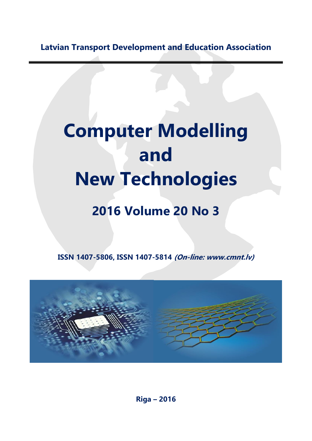**Latvian Transport Development and Education Association**

## **Computer Modelling and New Technologies**

## **2016 Volume 20 No 3**

**ISSN 1407-5806, ISSN 1407-5814 (On-line: www.cmnt.lv)**



**Riga – 2016**